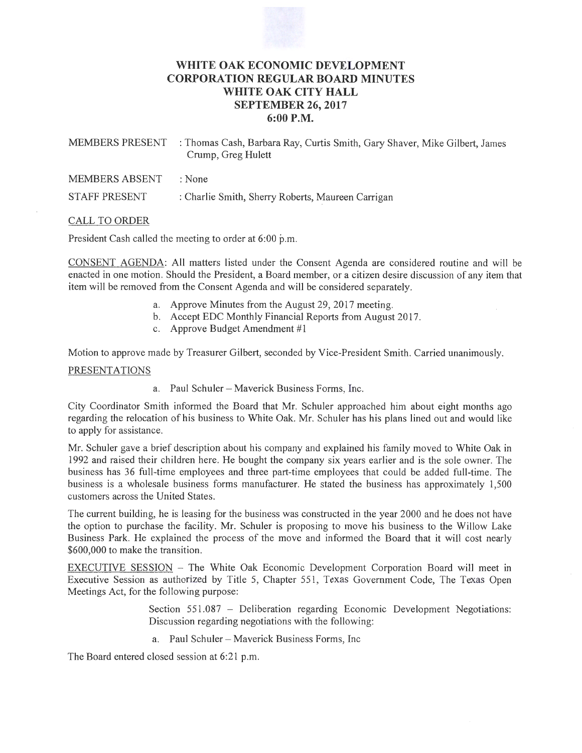# **WHITE OAK ECONOMIC DEVELOPMENT CORPORATION REGULAR BOARD MINUTES WHITE OAK CITY HALL SEPTEMBER** 26, **2017 6:00P.M.**

| : Thomas Cash, Barbara Ray, Curtis Smith, Gary Shaver, Mike Gilbert, James<br>Crump, Greg Hulett |
|--------------------------------------------------------------------------------------------------|
| : None                                                                                           |
| : Charlie Smith, Sherry Roberts, Maureen Carrigan                                                |
|                                                                                                  |

### CALL TO ORDER

President Cash called the meeting to order at  $6:00$  p.m.

CONSENT AGENDA: All matters listed under the Consent Agenda are considered routine and will be enacted in one motion. Should the President, a Board member, or a citizen desire discussion of any item that item will be removed from the Consent Agenda and will be considered separately.

- a. Approve Minutes from the August 29, 2017 meeting.
- b. Accept EDC Monthly Financial Reports from August 2017.
- c. Approve Budget Amendment #1

Motion to approve made by Treasurer Gilbert, seconded by Vice-President Smith. Carried unanimously.

#### PRESENTATIONS

a. Paul Schuler - Maverick Business Forms, Inc.

City Coordinator Smith informed the Board that Mr. Schuler approached him about eight months ago regarding the relocation of his business to White Oak. Mr. Schuler has his plans lined out and would like to apply for assistance.

Mr. Schuler gave a brief description about his company and explained his family moved to White Oak in 1992 and raised their children here. He bought the company six years earlier and is the sole owner. The business has 36 full-time employees and three part-time employees that could be added full-time. The business is a wholesale business forms manufacturer. He stated the business has approximately 1,500 customers across the United States.

The current building, he is leasing for the business was constructed in the year 2000 and he does not have the option to purchase the facility. Mr. Schuler is proposing to move his business to the Willow Lake Business Park. He explained the process of the move and informed the Board that it will cost nearly \$600,000 to make the transition.

EXECUTIVE SESSION - The White Oak Economic Development Corporation Board will meet in Executive Session as authorized by Title 5, Chapter 551, Texas Government Code, The Texas Open Meetings Act, for the following purpose:

> Section 551.087 - Deliberation regarding Economic Development Negotiations: Discussion regarding negotiations with the following:

a. Paul Schuler - Maverick Business Forms, Inc

The Board entered closed session at 6:21 p.m.